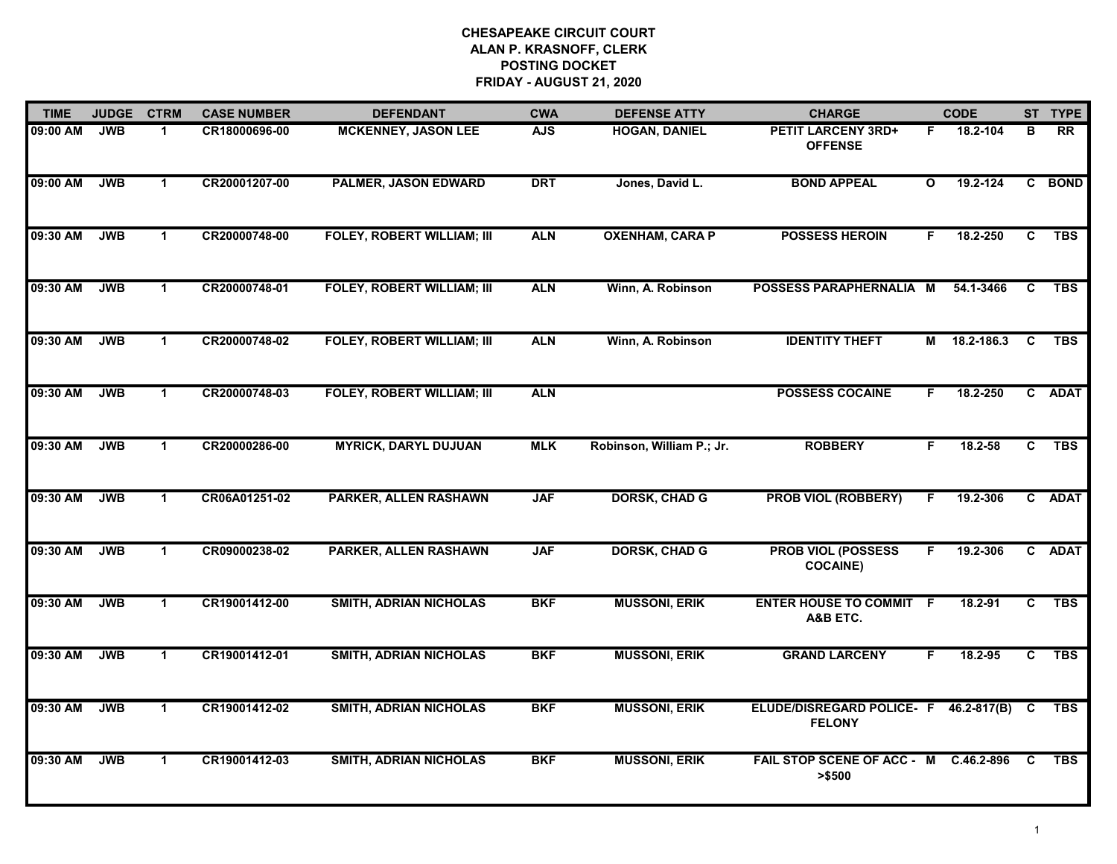| <b>TIME</b> | <b>JUDGE</b> | <b>CTRM</b>  | <b>CASE NUMBER</b> | <b>DEFENDANT</b>                  | <b>CWA</b> | <b>DEFENSE ATTY</b>       | <b>CHARGE</b>                                |              | <b>CODE</b>     |                         | ST TYPE         |
|-------------|--------------|--------------|--------------------|-----------------------------------|------------|---------------------------|----------------------------------------------|--------------|-----------------|-------------------------|-----------------|
| 09:00 AM    | <b>JWB</b>   | 1.           | CR18000696-00      | <b>MCKENNEY, JASON LEE</b>        | <b>AJS</b> | <b>HOGAN, DANIEL</b>      | <b>PETIT LARCENY 3RD+</b><br><b>OFFENSE</b>  | F.           | 18.2-104        | в                       | $\overline{RR}$ |
| 09:00 AM    | <b>JWB</b>   | $\mathbf 1$  | CR20001207-00      | PALMER, JASON EDWARD              | <b>DRT</b> | Jones, David L.           | <b>BOND APPEAL</b>                           | $\mathbf{o}$ | 19.2-124        | $\mathbf{C}$            | <b>BOND</b>     |
| 09:30 AM    | <b>JWB</b>   | $\mathbf{1}$ | CR20000748-00      | <b>FOLEY, ROBERT WILLIAM; III</b> | <b>ALN</b> | <b>OXENHAM, CARA P</b>    | <b>POSSESS HEROIN</b>                        | F.           | 18.2-250        | C                       | <b>TBS</b>      |
| 09:30 AM    | <b>JWB</b>   | 1            | CR20000748-01      | <b>FOLEY, ROBERT WILLIAM; III</b> | <b>ALN</b> | Winn, A. Robinson         | POSSESS PARAPHERNALIA M                      |              | 54.1-3466       | C                       | <b>TBS</b>      |
| 09:30 AM    | <b>JWB</b>   | $\mathbf{1}$ | CR20000748-02      | <b>FOLEY, ROBERT WILLIAM; III</b> | <b>ALN</b> | Winn, A. Robinson         | <b>IDENTITY THEFT</b>                        |              | M 18.2-186.3    | C                       | <b>TBS</b>      |
| 09:30 AM    | <b>JWB</b>   | $\mathbf 1$  | CR20000748-03      | <b>FOLEY, ROBERT WILLIAM; III</b> | <b>ALN</b> |                           | <b>POSSESS COCAINE</b>                       | F.           | 18.2-250        |                         | C ADAT          |
| 09:30 AM    | <b>JWB</b>   | $\mathbf 1$  | CR20000286-00      | <b>MYRICK, DARYL DUJUAN</b>       | <b>MLK</b> | Robinson, William P.; Jr. | <b>ROBBERY</b>                               | F.           | 18.2-58         | $\overline{c}$          | <b>TBS</b>      |
| 09:30 AM    | <b>JWB</b>   | $\mathbf 1$  | CR06A01251-02      | PARKER, ALLEN RASHAWN             | <b>JAF</b> | <b>DORSK, CHAD G</b>      | <b>PROB VIOL (ROBBERY)</b>                   | F.           | 19.2-306        |                         | C ADAT          |
| 09:30 AM    | <b>JWB</b>   | $\mathbf 1$  | CR09000238-02      | PARKER, ALLEN RASHAWN             | <b>JAF</b> | <b>DORSK, CHAD G</b>      | <b>PROB VIOL (POSSESS</b><br><b>COCAINE)</b> | F.           | 19.2-306        |                         | C ADAT          |
| 09:30 AM    | <b>JWB</b>   | $\mathbf{1}$ | CR19001412-00      | <b>SMITH, ADRIAN NICHOLAS</b>     | <b>BKF</b> | <b>MUSSONI, ERIK</b>      | <b>ENTER HOUSE TO COMMIT F</b><br>A&B ETC.   |              | 18.2-91         | C                       | <b>TBS</b>      |
| 09:30 AM    | <b>JWB</b>   | $\mathbf{1}$ | CR19001412-01      | <b>SMITH, ADRIAN NICHOLAS</b>     | <b>BKF</b> | <b>MUSSONI, ERIK</b>      | <b>GRAND LARCENY</b>                         | F            | 18.2-95         | $\overline{\mathbf{c}}$ | <b>TBS</b>      |
| 09:30 AM    | <b>JWB</b>   | $\mathbf{1}$ | CR19001412-02      | <b>SMITH, ADRIAN NICHOLAS</b>     | <b>BKF</b> | <b>MUSSONI, ERIK</b>      | ELUDE/DISREGARD POLICE- F<br><b>FELONY</b>   |              | $46.2 - 817(B)$ | C                       | <b>TBS</b>      |
| 09:30 AM    | <b>JWB</b>   | $\mathbf{1}$ | CR19001412-03      | <b>SMITH, ADRIAN NICHOLAS</b>     | <b>BKF</b> | <b>MUSSONI, ERIK</b>      | FAIL STOP SCENE OF ACC - M<br>> \$500        |              | C.46.2-896      | C                       | <b>TBS</b>      |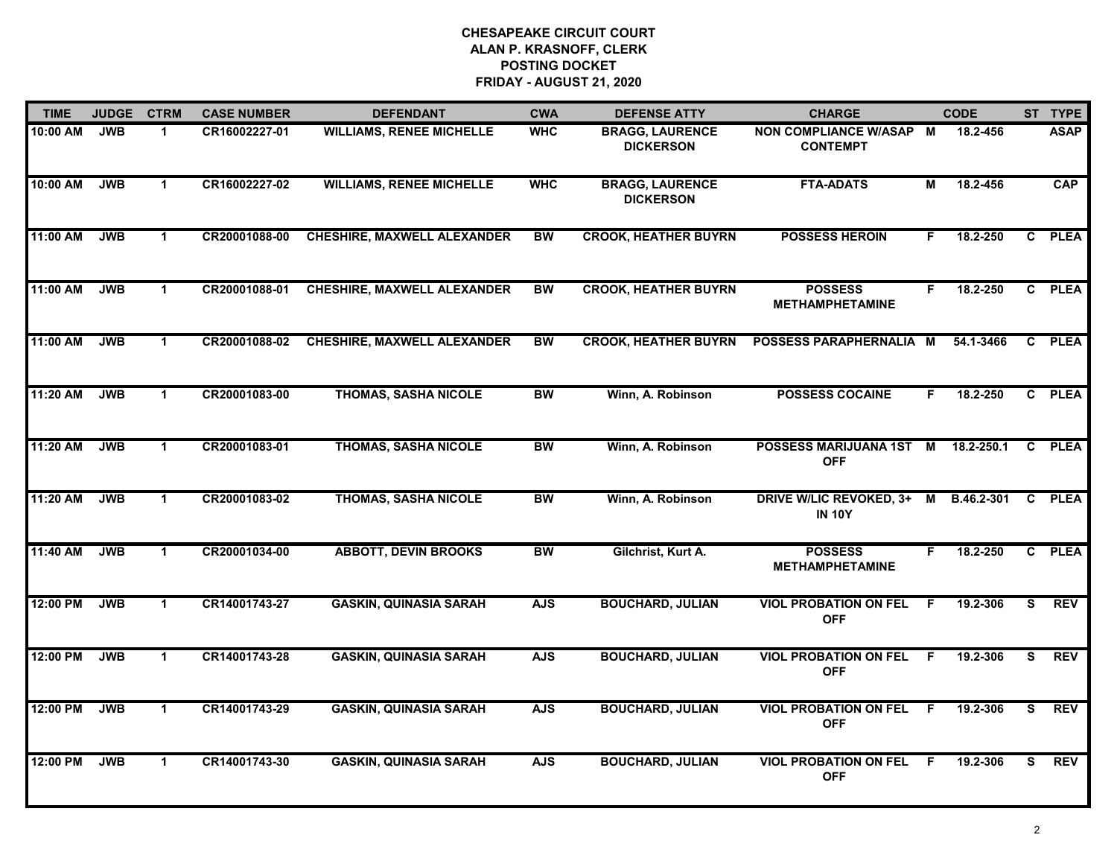| <b>TIME</b> | <b>JUDGE</b> | <b>CTRM</b>          | <b>CASE NUMBER</b> | <b>DEFENDANT</b>                   | <b>CWA</b> | <b>DEFENSE ATTY</b>                        | <b>CHARGE</b>                                   |     | <b>CODE</b> |              | ST TYPE     |
|-------------|--------------|----------------------|--------------------|------------------------------------|------------|--------------------------------------------|-------------------------------------------------|-----|-------------|--------------|-------------|
| 10:00 AM    | <b>JWB</b>   | 1.                   | CR16002227-01      | <b>WILLIAMS, RENEE MICHELLE</b>    | <b>WHC</b> | <b>BRAGG, LAURENCE</b><br><b>DICKERSON</b> | NON COMPLIANCE W/ASAP M<br><b>CONTEMPT</b>      |     | 18.2-456    |              | <b>ASAP</b> |
| 10:00 AM    | <b>JWB</b>   | $\mathbf{1}$         | CR16002227-02      | <b>WILLIAMS, RENEE MICHELLE</b>    | <b>WHC</b> | <b>BRAGG, LAURENCE</b><br><b>DICKERSON</b> | <b>FTA-ADATS</b>                                | М   | 18.2-456    |              | CAP         |
| 11:00 AM    | <b>JWB</b>   | $\mathbf{1}$         | CR20001088-00      | <b>CHESHIRE, MAXWELL ALEXANDER</b> | <b>BW</b>  | <b>CROOK, HEATHER BUYRN</b>                | <b>POSSESS HEROIN</b>                           | F   | 18.2-250    |              | C PLEA      |
| 11:00 AM    | <b>JWB</b>   | $\mathbf 1$          | CR20001088-01      | <b>CHESHIRE, MAXWELL ALEXANDER</b> | BW         | <b>CROOK, HEATHER BUYRN</b>                | <b>POSSESS</b><br><b>METHAMPHETAMINE</b>        | F.  | 18.2-250    |              | C PLEA      |
| 11:00 AM    | <b>JWB</b>   | $\mathbf 1$          | CR20001088-02      | <b>CHESHIRE, MAXWELL ALEXANDER</b> | <b>BW</b>  | <b>CROOK, HEATHER BUYRN</b>                | POSSESS PARAPHERNALIA M                         |     | 54.1-3466   |              | C PLEA      |
| 11:20 AM    | <b>JWB</b>   | $\mathbf 1$          | CR20001083-00      | <b>THOMAS, SASHA NICOLE</b>        | <b>BW</b>  | Winn, A. Robinson                          | <b>POSSESS COCAINE</b>                          | F.  | 18.2-250    |              | C PLEA      |
| 11:20 AM    | <b>JWB</b>   | $\mathbf{1}$         | CR20001083-01      | <b>THOMAS, SASHA NICOLE</b>        | <b>BW</b>  | Winn, A. Robinson                          | POSSESS MARIJUANA 1ST M<br><b>OFF</b>           |     | 18.2-250.1  | $\mathbf{C}$ | <b>PLEA</b> |
| 11:20 AM    | <b>JWB</b>   | $\mathbf{1}$         | CR20001083-02      | <b>THOMAS, SASHA NICOLE</b>        | <b>BW</b>  | Winn, A. Robinson                          | <b>DRIVE W/LIC REVOKED, 3+</b><br><b>IN 10Y</b> | M   | B.46.2-301  |              | C PLEA      |
| 11:40 AM    | <b>JWB</b>   | $\mathbf{1}$         | CR20001034-00      | <b>ABBOTT, DEVIN BROOKS</b>        | BW         | Gilchrist, Kurt A.                         | <b>POSSESS</b><br><b>METHAMPHETAMINE</b>        | F.  | 18.2-250    |              | C PLEA      |
| 12:00 PM    | <b>JWB</b>   | $\blacktriangleleft$ | CR14001743-27      | <b>GASKIN, QUINASIA SARAH</b>      | <b>AJS</b> | <b>BOUCHARD, JULIAN</b>                    | <b>VIOL PROBATION ON FEL</b><br><b>OFF</b>      | .F  | 19.2-306    | s,           | <b>REV</b>  |
| 12:00 PM    | <b>JWB</b>   | $\mathbf{1}$         | CR14001743-28      | <b>GASKIN, QUINASIA SARAH</b>      | <b>AJS</b> | <b>BOUCHARD, JULIAN</b>                    | <b>VIOL PROBATION ON FEL</b><br><b>OFF</b>      | -F  | 19.2-306    | S.           | <b>REV</b>  |
| 12:00 PM    | <b>JWB</b>   | $\mathbf{1}$         | CR14001743-29      | <b>GASKIN, QUINASIA SARAH</b>      | <b>AJS</b> | <b>BOUCHARD, JULIAN</b>                    | <b>VIOL PROBATION ON FEL</b><br><b>OFF</b>      | F.  | 19.2-306    | s            | <b>REV</b>  |
| 12:00 PM    | <b>JWB</b>   | $\mathbf 1$          | CR14001743-30      | <b>GASKIN, QUINASIA SARAH</b>      | <b>AJS</b> | <b>BOUCHARD, JULIAN</b>                    | <b>VIOL PROBATION ON FEL</b><br><b>OFF</b>      | - F | 19.2-306    | S.           | <b>REV</b>  |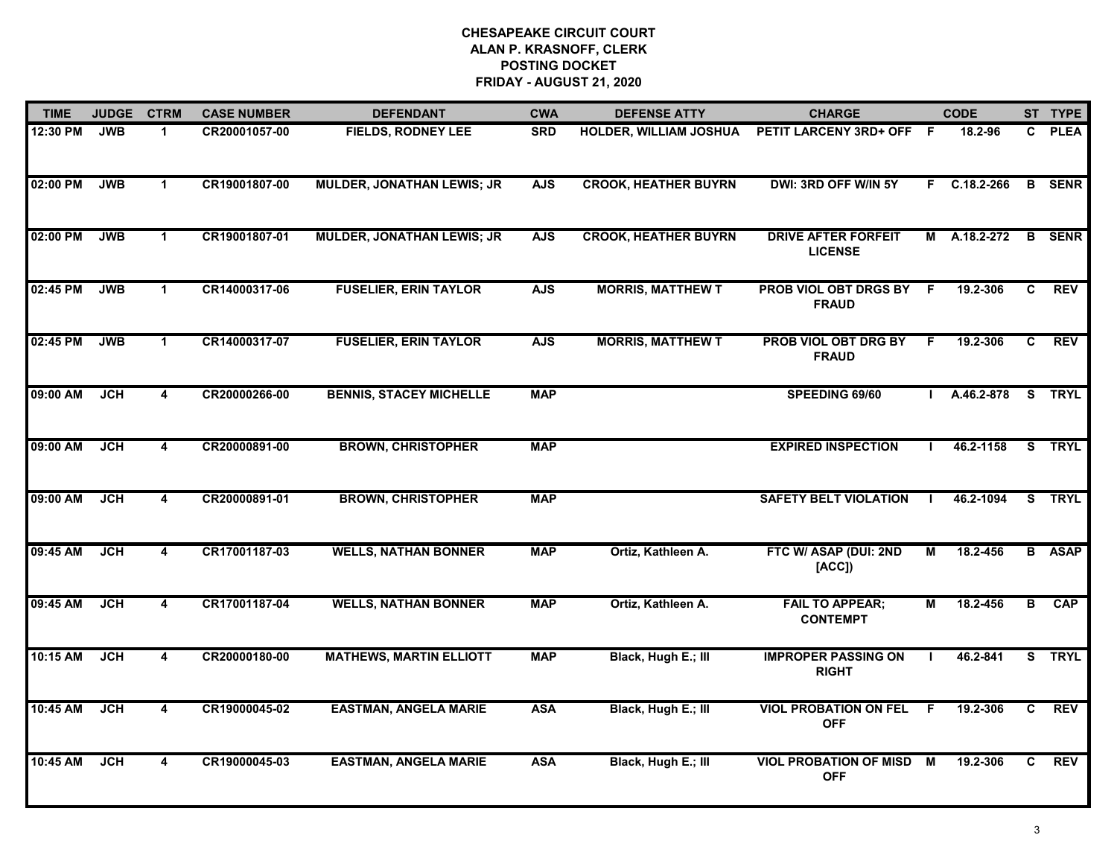| <b>TIME</b> | <b>JUDGE</b> | <b>CTRM</b>             | <b>CASE NUMBER</b> | <b>DEFENDANT</b>                  | <b>CWA</b> | <b>DEFENSE ATTY</b>           | <b>CHARGE</b>                                |     | <b>CODE</b> |              | ST TYPE       |
|-------------|--------------|-------------------------|--------------------|-----------------------------------|------------|-------------------------------|----------------------------------------------|-----|-------------|--------------|---------------|
| 12:30 PM    | <b>JWB</b>   | $\mathbf 1$             | CR20001057-00      | <b>FIELDS, RODNEY LEE</b>         | <b>SRD</b> | <b>HOLDER, WILLIAM JOSHUA</b> | PETIT LARCENY 3RD+ OFF F                     |     | 18.2-96     | $\mathbf{c}$ | <b>PLEA</b>   |
| 02:00 PM    | <b>JWB</b>   | $\mathbf{1}$            | CR19001807-00      | <b>MULDER, JONATHAN LEWIS; JR</b> | <b>AJS</b> | <b>CROOK, HEATHER BUYRN</b>   | DWI: 3RD OFF W/IN 5Y                         | F.  | C.18.2-266  |              | <b>B</b> SENR |
| 02:00 PM    | <b>JWB</b>   | $\mathbf 1$             | CR19001807-01      | <b>MULDER, JONATHAN LEWIS; JR</b> | <b>AJS</b> | <b>CROOK, HEATHER BUYRN</b>   | <b>DRIVE AFTER FORFEIT</b><br><b>LICENSE</b> | M   | A.18.2-272  | B            | <b>SENR</b>   |
| 02:45 PM    | <b>JWB</b>   | $\mathbf 1$             | CR14000317-06      | <b>FUSELIER, ERIN TAYLOR</b>      | <b>AJS</b> | <b>MORRIS, MATTHEW T</b>      | PROB VIOL OBT DRGS BY<br><b>FRAUD</b>        | - F | 19.2-306    | C            | <b>REV</b>    |
| 02:45 PM    | <b>JWB</b>   | $\blacktriangleleft$    | CR14000317-07      | <b>FUSELIER, ERIN TAYLOR</b>      | <b>AJS</b> | <b>MORRIS, MATTHEW T</b>      | PROB VIOL OBT DRG BY<br><b>FRAUD</b>         | F   | 19.2-306    | C            | <b>REV</b>    |
| 09:00 AM    | <b>JCH</b>   | 4                       | CR20000266-00      | <b>BENNIS, STACEY MICHELLE</b>    | <b>MAP</b> |                               | SPEEDING 69/60                               |     | A.46.2-878  |              | S TRYL        |
| 09:00 AM    | <b>JCH</b>   | $\overline{\mathbf{4}}$ | CR20000891-00      | <b>BROWN, CHRISTOPHER</b>         | <b>MAP</b> |                               | <b>EXPIRED INSPECTION</b>                    |     | 46.2-1158   |              | S TRYL        |
| 09:00 AM    | <b>JCH</b>   | $\overline{\mathbf{4}}$ | CR20000891-01      | <b>BROWN, CHRISTOPHER</b>         | <b>MAP</b> |                               | <b>SAFETY BELT VIOLATION</b>                 |     | 46.2-1094   |              | S TRYL        |
| 09:45 AM    | <b>JCH</b>   | 4                       | CR17001187-03      | <b>WELLS, NATHAN BONNER</b>       | <b>MAP</b> | Ortiz, Kathleen A.            | FTC W/ ASAP (DUI: 2ND<br>[ACC]               | М   | 18.2-456    |              | <b>B</b> ASAP |
| 09:45 AM    | <b>JCH</b>   | 4                       | CR17001187-04      | <b>WELLS, NATHAN BONNER</b>       | <b>MAP</b> | Ortiz, Kathleen A.            | <b>FAIL TO APPEAR;</b><br><b>CONTEMPT</b>    | М   | 18.2-456    | в            | <b>CAP</b>    |
| 10:15 AM    | <b>JCH</b>   | $\overline{\mathbf{4}}$ | CR20000180-00      | <b>MATHEWS, MARTIN ELLIOTT</b>    | <b>MAP</b> | Black, Hugh E.; III           | <b>IMPROPER PASSING ON</b><br><b>RIGHT</b>   |     | 46.2-841    | S.           | <b>TRYL</b>   |
| 10:45 AM    | <b>JCH</b>   | 4                       | CR19000045-02      | <b>EASTMAN, ANGELA MARIE</b>      | <b>ASA</b> | Black, Hugh E.; III           | <b>VIOL PROBATION ON FEL</b><br><b>OFF</b>   | F.  | 19.2-306    | C            | <b>REV</b>    |
| 10:45 AM    | <b>JCH</b>   | 4                       | CR19000045-03      | <b>EASTMAN, ANGELA MARIE</b>      | <b>ASA</b> | Black, Hugh E.; III           | <b>VIOL PROBATION OF MISD</b><br><b>OFF</b>  | M   | 19.2-306    | C.           | <b>REV</b>    |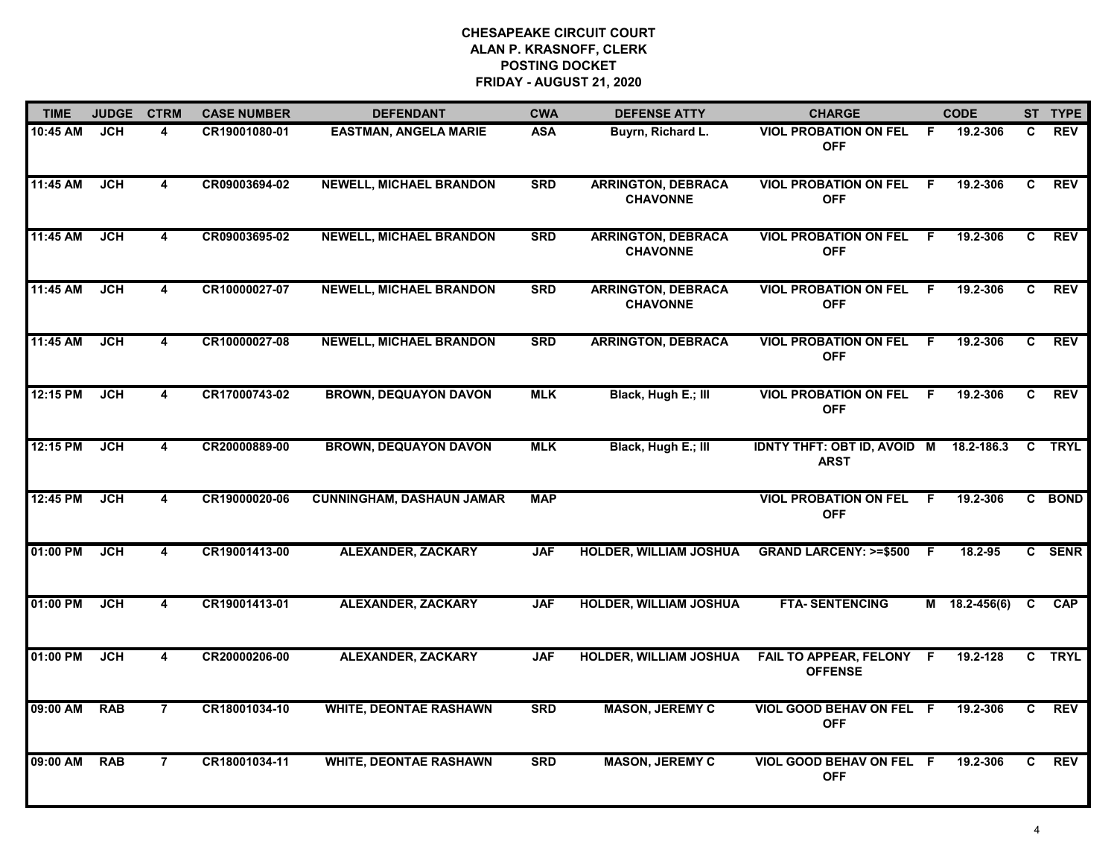| <b>TIME</b> | <b>JUDGE</b> | <b>CTRM</b>             | <b>CASE NUMBER</b> | <b>DEFENDANT</b>                 | <b>CWA</b> | <b>DEFENSE ATTY</b>                          | <b>CHARGE</b>                                         |     | <b>CODE</b>   |                | ST TYPE     |
|-------------|--------------|-------------------------|--------------------|----------------------------------|------------|----------------------------------------------|-------------------------------------------------------|-----|---------------|----------------|-------------|
| 10:45 AM    | <b>JCH</b>   | 4                       | CR19001080-01      | <b>EASTMAN, ANGELA MARIE</b>     | <b>ASA</b> | Buyrn, Richard L.                            | <b>VIOL PROBATION ON FEL</b><br><b>OFF</b>            | - F | 19.2-306      | C              | <b>REV</b>  |
| 11:45 AM    | <b>JCH</b>   | $\overline{4}$          | CR09003694-02      | <b>NEWELL, MICHAEL BRANDON</b>   | <b>SRD</b> | <b>ARRINGTON, DEBRACA</b><br><b>CHAVONNE</b> | <b>VIOL PROBATION ON FEL</b><br><b>OFF</b>            | - F | 19.2-306      | C              | <b>REV</b>  |
| 11:45 AM    | <b>JCH</b>   | $\overline{\mathbf{4}}$ | CR09003695-02      | <b>NEWELL, MICHAEL BRANDON</b>   | <b>SRD</b> | <b>ARRINGTON, DEBRACA</b><br><b>CHAVONNE</b> | <b>VIOL PROBATION ON FEL</b><br><b>OFF</b>            | -F  | 19.2-306      | $\mathbf{C}$   | <b>REV</b>  |
| 11:45 AM    | <b>JCH</b>   | 4                       | CR10000027-07      | <b>NEWELL, MICHAEL BRANDON</b>   | <b>SRD</b> | <b>ARRINGTON, DEBRACA</b><br><b>CHAVONNE</b> | <b>VIOL PROBATION ON FEL F</b><br><b>OFF</b>          |     | 19.2-306      | C.             | <b>REV</b>  |
| 11:45 AM    | <b>JCH</b>   | $\overline{4}$          | CR10000027-08      | <b>NEWELL, MICHAEL BRANDON</b>   | <b>SRD</b> | <b>ARRINGTON, DEBRACA</b>                    | <b>VIOL PROBATION ON FEL</b><br><b>OFF</b>            | F.  | 19.2-306      | $\overline{c}$ | <b>REV</b>  |
| 12:15 PM    | JCH          | 4                       | CR17000743-02      | <b>BROWN, DEQUAYON DAVON</b>     | <b>MLK</b> | Black, Hugh E.; III                          | <b>VIOL PROBATION ON FEL</b><br><b>OFF</b>            | F.  | 19.2-306      | C              | <b>REV</b>  |
| 12:15 PM    | <b>JCH</b>   | $\overline{4}$          | CR20000889-00      | <b>BROWN, DEQUAYON DAVON</b>     | <b>MLK</b> | Black, Hugh E.; III                          | IDNTY THFT: OBT ID, AVOID M 18.2-186.3<br><b>ARST</b> |     |               |                | C TRYL      |
| 12:45 PM    | <b>JCH</b>   | $\overline{4}$          | CR19000020-06      | <b>CUNNINGHAM, DASHAUN JAMAR</b> | <b>MAP</b> |                                              | <b>VIOL PROBATION ON FEL F</b><br><b>OFF</b>          |     | 19.2-306      |                | C BOND      |
| 01:00 PM    | <b>JCH</b>   | $\overline{\mathbf{4}}$ | CR19001413-00      | <b>ALEXANDER, ZACKARY</b>        | <b>JAF</b> | HOLDER, WILLIAM JOSHUA                       | <b>GRAND LARCENY: &gt;=\$500</b>                      | - F | 18.2-95       |                | C SENR      |
| 01:00 PM    | <b>JCH</b>   | 4                       | CR19001413-01      | <b>ALEXANDER, ZACKARY</b>        | <b>JAF</b> | <b>HOLDER, WILLIAM JOSHUA</b>                | <b>FTA-SENTENCING</b>                                 |     | M 18.2-456(6) | $\mathbf{C}$   | CAP         |
| 01:00 PM    | <b>JCH</b>   | $\overline{\mathbf{4}}$ | CR20000206-00      | <b>ALEXANDER, ZACKARY</b>        | <b>JAF</b> | <b>HOLDER, WILLIAM JOSHUA</b>                | FAIL TO APPEAR, FELONY F<br><b>OFFENSE</b>            |     | 19.2-128      | $\mathbf{c}$   | <b>TRYL</b> |
| 09:00 AM    | <b>RAB</b>   | $\overline{7}$          | CR18001034-10      | <b>WHITE, DEONTAE RASHAWN</b>    | <b>SRD</b> | <b>MASON, JEREMY C</b>                       | VIOL GOOD BEHAV ON FEL F<br><b>OFF</b>                |     | 19.2-306      | $\overline{c}$ | <b>REV</b>  |
| 09:00 AM    | <b>RAB</b>   | $\overline{7}$          | CR18001034-11      | <b>WHITE, DEONTAE RASHAWN</b>    | <b>SRD</b> | <b>MASON, JEREMY C</b>                       | VIOL GOOD BEHAV ON FEL F<br><b>OFF</b>                |     | 19.2-306      | C.             | <b>REV</b>  |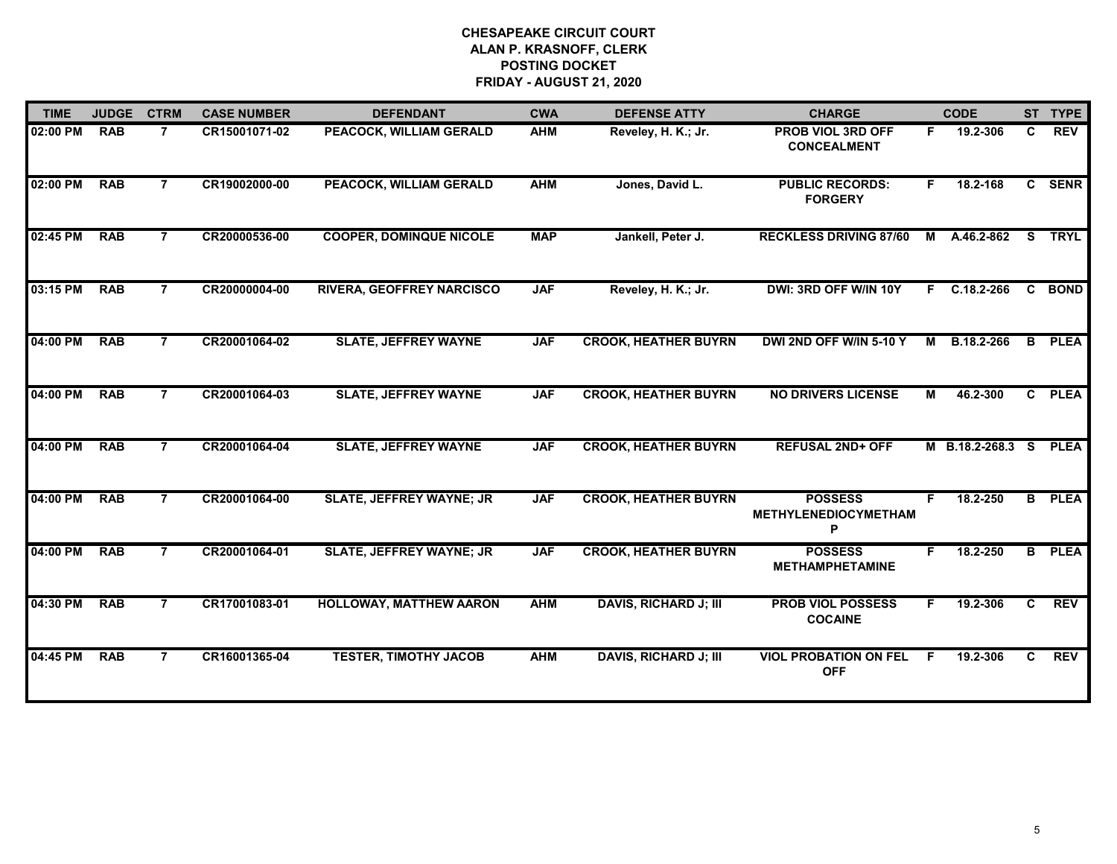| <b>TIME</b> | <b>JUDGE</b> | <b>CTRM</b>    | <b>CASE NUMBER</b> | <b>DEFENDANT</b>                 | <b>CWA</b> | <b>DEFENSE ATTY</b>          | <b>CHARGE</b>                               |                | <b>CODE</b>      |                | ST TYPE       |
|-------------|--------------|----------------|--------------------|----------------------------------|------------|------------------------------|---------------------------------------------|----------------|------------------|----------------|---------------|
| 02:00 PM    | <b>RAB</b>   | $\overline{7}$ | CR15001071-02      | PEACOCK, WILLIAM GERALD          | <b>AHM</b> | Reveley, H. K.; Jr.          | PROB VIOL 3RD OFF<br><b>CONCEALMENT</b>     |                | F 19.2-306       | C.             | <b>REV</b>    |
| 02:00 PM    | <b>RAB</b>   | $\overline{7}$ | CR19002000-00      | PEACOCK, WILLIAM GERALD          | <b>AHM</b> | Jones, David L.              | <b>PUBLIC RECORDS:</b><br><b>FORGERY</b>    | F.             | 18.2-168         |                | C SENR        |
| 02:45 PM    | <b>RAB</b>   | $\overline{7}$ | CR20000536-00      | <b>COOPER, DOMINQUE NICOLE</b>   | <b>MAP</b> | Jankell, Peter J.            | <b>RECKLESS DRIVING 87/60</b>               |                | M A.46.2-862     | <b>S</b>       | <b>TRYL</b>   |
| 03:15 PM    | <b>RAB</b>   | $\overline{7}$ | CR20000004-00      | <b>RIVERA, GEOFFREY NARCISCO</b> | <b>JAF</b> | Reveley, H. K.; Jr.          | DWI: 3RD OFF W/IN 10Y                       |                | $F$ C.18.2-266   | C.             | <b>BOND</b>   |
| 04:00 PM    | <b>RAB</b>   | 7              | CR20001064-02      | <b>SLATE, JEFFREY WAYNE</b>      | <b>JAF</b> | <b>CROOK, HEATHER BUYRN</b>  | DWI 2ND OFF W/IN 5-10 Y                     |                | M B.18.2-266     |                | <b>B</b> PLEA |
| 04:00 PM    | <b>RAB</b>   | $\overline{7}$ | CR20001064-03      | <b>SLATE, JEFFREY WAYNE</b>      | <b>JAF</b> | <b>CROOK, HEATHER BUYRN</b>  | <b>NO DRIVERS LICENSE</b>                   | $\overline{M}$ | 46.2-300         |                | C PLEA        |
| 04:00 PM    | <b>RAB</b>   | $\overline{7}$ | CR20001064-04      | <b>SLATE, JEFFREY WAYNE</b>      | <b>JAF</b> | <b>CROOK, HEATHER BUYRN</b>  | <b>REFUSAL 2ND+ OFF</b>                     |                | M B.18.2-268.3 S |                | <b>PLEA</b>   |
| 04:00 PM    | <b>RAB</b>   | $\overline{7}$ | CR20001064-00      | <b>SLATE, JEFFREY WAYNE; JR</b>  | <b>JAF</b> | <b>CROOK, HEATHER BUYRN</b>  | <b>POSSESS</b><br>METHYLENEDIOCYMETHAM<br>P | F.             | 18.2-250         | $\overline{B}$ | <b>PLEA</b>   |
| 04:00 PM    | <b>RAB</b>   | $\overline{7}$ | CR20001064-01      | <b>SLATE, JEFFREY WAYNE; JR</b>  | <b>JAF</b> | <b>CROOK, HEATHER BUYRN</b>  | <b>POSSESS</b><br><b>METHAMPHETAMINE</b>    | F.             | 18.2-250         | $\overline{B}$ | <b>PLEA</b>   |
| 04:30 PM    | <b>RAB</b>   | 7              | CR17001083-01      | <b>HOLLOWAY, MATTHEW AARON</b>   | <b>AHM</b> | <b>DAVIS, RICHARD J; III</b> | <b>PROB VIOL POSSESS</b><br><b>COCAINE</b>  | F.             | 19.2-306         | C.             | <b>REV</b>    |
| 04:45 PM    | <b>RAB</b>   | $\overline{7}$ | CR16001365-04      | <b>TESTER, TIMOTHY JACOB</b>     | <b>AHM</b> | <b>DAVIS, RICHARD J; III</b> | <b>VIOL PROBATION ON FEL</b><br><b>OFF</b>  | F              | 19.2-306         | $\mathbf{C}$   | <b>REV</b>    |